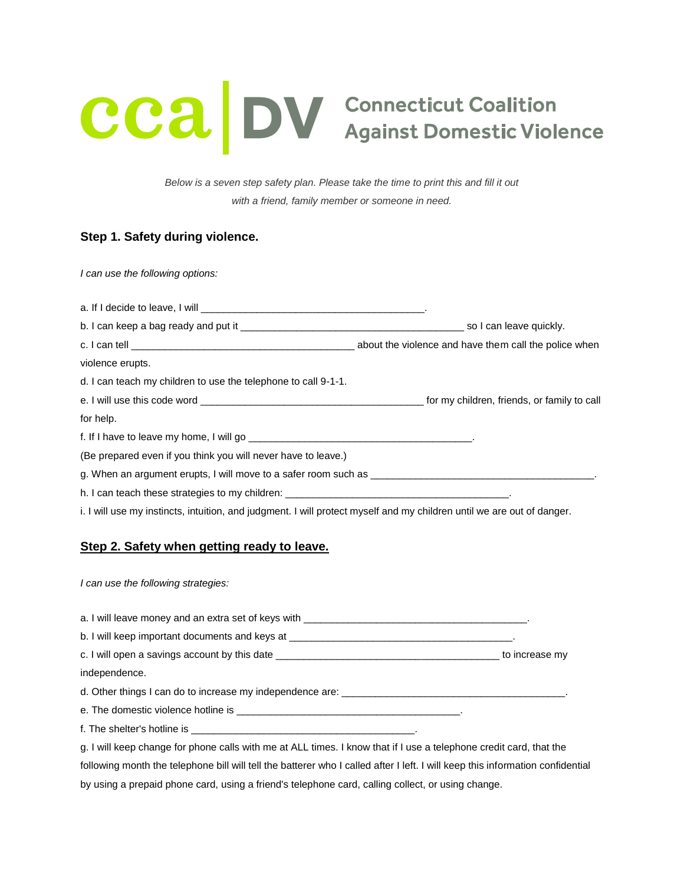# **CCA DV** Connecticut Coalition<br>Against Domestic Violence

*Below is a seven step safety plan. Please take the time to print this and fill it out with a friend, family member or someone in need.*

# **Step 1. Safety during violence.**

*I can use the following options:*

a. If I decide to leave, I will \_\_\_\_\_\_\_\_\_\_\_\_\_\_\_\_\_\_\_\_\_\_\_\_\_\_\_\_\_\_\_\_\_\_\_\_\_\_\_\_. b. I can keep a bag ready and put it \_\_\_\_\_\_\_\_\_\_\_\_\_\_\_\_\_\_\_\_\_\_\_\_\_\_\_\_\_\_\_\_\_\_\_\_\_\_\_\_ so I can leave quickly. c. I can tell **come that the violence and have them call the police when** c. violence erupts. d. I can teach my children to use the telephone to call 9-1-1. e. I will use this code word \_\_\_\_\_\_\_\_\_\_\_\_\_\_\_\_\_\_\_\_\_\_\_\_\_\_\_\_\_\_\_\_\_\_\_\_\_\_\_\_ for my children, friends, or family to call for help. f. If I have to leave my home, I will go \_\_\_\_\_\_ (Be prepared even if you think you will never have to leave.) g. When an argument erupts, I will move to a safer room such as \_\_\_\_\_\_\_\_\_\_\_\_\_\_\_\_ h. I can teach these strategies to my children: \_\_\_\_\_\_\_ i. I will use my instincts, intuition, and judgment. I will protect myself and my children until we are out of danger.

# **Step 2. Safety when getting ready to leave.**

*I can use the following strategies:*

a. I will leave money and an extra set of keys with \_\_\_\_\_\_\_\_\_\_\_\_\_\_\_\_\_\_\_\_\_\_\_\_\_\_\_\_\_\_\_\_\_\_\_\_\_\_\_\_.

| b. I will keep important documents and keys at |  |
|------------------------------------------------|--|
|------------------------------------------------|--|

c. I will open a savings account by this date \_\_\_\_\_\_\_\_\_\_\_\_\_\_\_\_\_\_\_\_\_\_\_\_\_\_\_\_\_\_\_\_\_\_\_\_\_\_\_\_ to increase my

independence.

d. Other things I can do to increase my independence are: \_\_\_\_\_\_\_\_\_\_\_\_\_\_\_\_\_\_\_\_\_\_

e. The domestic violence hotline is \_\_\_\_\_\_\_\_\_\_\_\_\_\_\_\_\_\_\_\_\_\_\_\_\_\_\_\_\_\_\_\_\_\_\_\_\_\_\_\_.

f. The shelter's hotline is \_\_\_\_\_\_\_\_\_\_\_\_\_\_\_\_\_\_\_\_\_\_\_\_\_\_\_\_\_\_\_\_\_\_\_\_\_\_\_\_.

g. I will keep change for phone calls with me at ALL times. I know that if I use a telephone credit card, that the following month the telephone bill will tell the batterer who I called after I left. I will keep this information confidential by using a prepaid phone card, using a friend's telephone card, calling collect, or using change.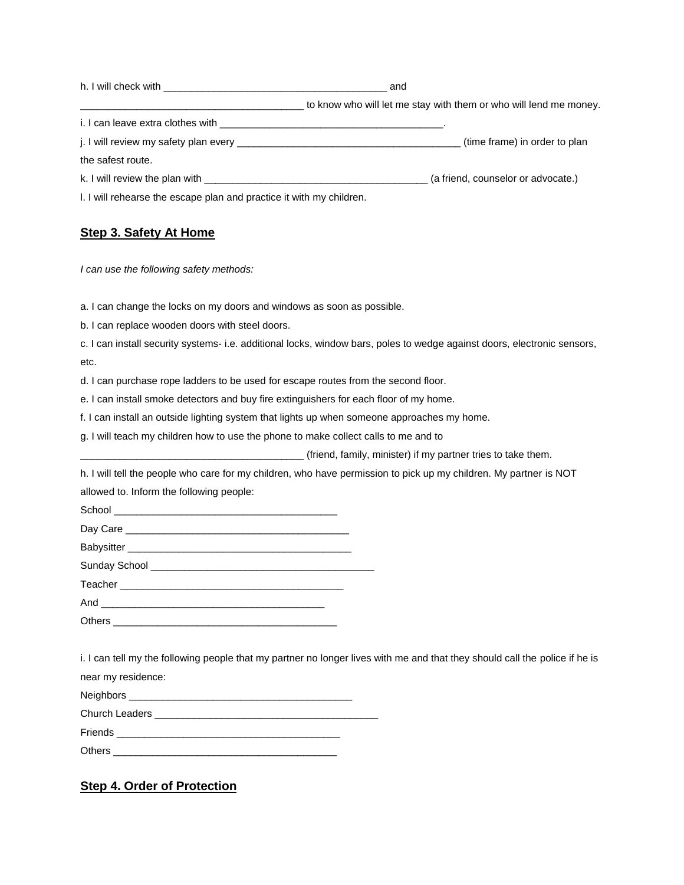| h. I will check with the state of the state of the state of the state of the state of the state of the state o<br>and |
|-----------------------------------------------------------------------------------------------------------------------|
| to know who will let me stay with them or who will lend me money.                                                     |
|                                                                                                                       |
| (time frame) in order to plan                                                                                         |
|                                                                                                                       |
|                                                                                                                       |
| I. I will rehearse the escape plan and practice it with my children.                                                  |
|                                                                                                                       |

# **Step 3. Safety At Home**

*I can use the following safety methods:*

a. I can change the locks on my doors and windows as soon as possible.

b. I can replace wooden doors with steel doors.

c. I can install security systems- i.e. additional locks, window bars, poles to wedge against doors, electronic sensors, etc.

d. I can purchase rope ladders to be used for escape routes from the second floor.

e. I can install smoke detectors and buy fire extinguishers for each floor of my home.

f. I can install an outside lighting system that lights up when someone approaches my home.

g. I will teach my children how to use the phone to make collect calls to me and to

\_\_\_\_\_\_\_\_\_\_\_\_\_\_\_\_\_\_\_\_\_\_\_\_\_\_\_\_\_\_\_\_\_\_\_\_\_\_\_\_ (friend, family, minister) if my partner tries to take them.

h. I will tell the people who care for my children, who have permission to pick up my children. My partner is NOT allowed to. Inform the following people:

School Day Care

Babysitter \_\_\_\_\_\_ Sunday School \_\_\_\_\_\_\_\_\_\_\_\_\_\_\_\_\_\_\_\_\_\_\_\_\_\_\_\_\_\_\_\_\_\_\_\_\_\_\_\_

Teacher **Executed** 

And  $\overline{\phantom{a}}$ 

Others  $\_\_$ 

i. I can tell my the following people that my partner no longer lives with me and that they should call the police if he is near my residence:

Neighbors \_\_\_\_\_\_\_\_\_\_\_\_\_\_\_\_\_\_\_\_\_\_\_\_\_\_\_\_\_\_\_\_\_\_\_\_\_\_\_\_ Church Leaders Friends \_\_\_\_\_\_\_\_\_\_\_\_\_\_\_\_\_\_\_\_\_\_\_\_\_\_\_\_\_\_\_\_\_\_\_\_\_\_\_\_

Others \_\_\_\_\_\_\_\_\_\_\_\_\_\_\_\_\_\_\_\_\_\_\_\_\_\_\_\_\_\_\_\_\_\_\_\_\_\_\_\_

# **Step 4. Order of Protection**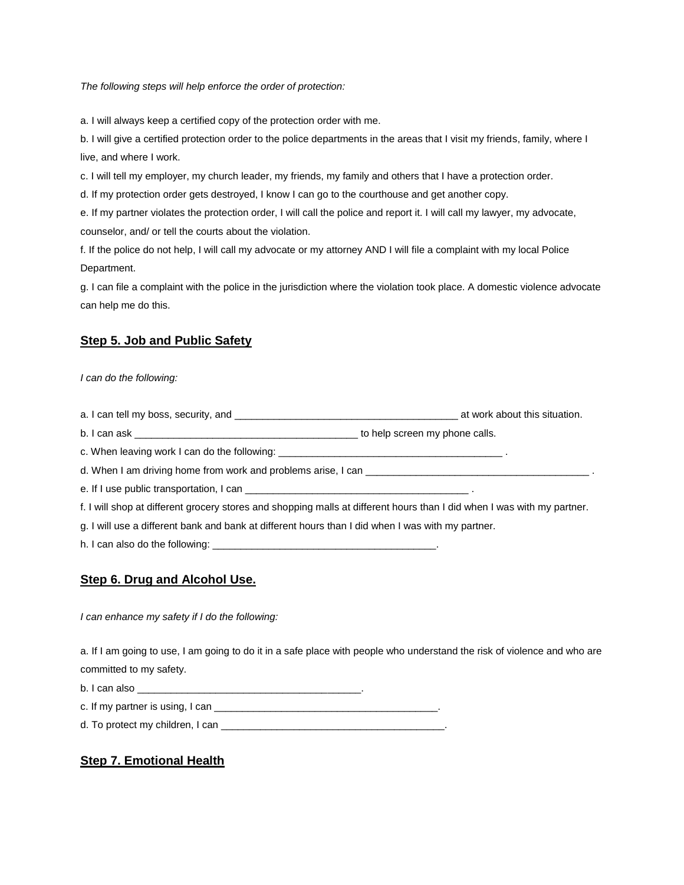*The following steps will help enforce the order of protection:*

a. I will always keep a certified copy of the protection order with me.

b. I will give a certified protection order to the police departments in the areas that I visit my friends, family, where I live, and where I work.

c. I will tell my employer, my church leader, my friends, my family and others that I have a protection order.

d. If my protection order gets destroyed, I know I can go to the courthouse and get another copy.

e. If my partner violates the protection order, I will call the police and report it. I will call my lawyer, my advocate, counselor, and/ or tell the courts about the violation.

f. If the police do not help, I will call my advocate or my attorney AND I will file a complaint with my local Police Department.

g. I can file a complaint with the police in the jurisdiction where the violation took place. A domestic violence advocate can help me do this.

### **Step 5. Job and Public Safety**

*I can do the following:*

a. I can tell my boss, security, and \_\_\_\_\_\_\_\_\_\_\_\_\_\_\_\_\_\_\_\_\_\_\_\_\_\_\_\_\_\_\_\_\_\_\_\_\_\_\_\_ at work about this situation.

b. I can ask \_\_\_\_\_\_\_\_\_\_\_\_\_\_\_\_\_\_\_\_\_\_\_\_\_\_\_\_\_\_\_\_\_\_\_\_\_\_\_\_ to help screen my phone calls.

c. When leaving work I can do the following:

d. When I am driving home from work and problems arise, I can \_\_\_\_\_\_\_\_\_\_\_\_\_\_\_\_\_\_

e. If I use public transportation, I can

f. I will shop at different grocery stores and shopping malls at different hours than I did when I was with my partner.

g. I will use a different bank and bank at different hours than I did when I was with my partner.

h. I can also do the following: \_\_\_\_\_\_\_\_\_\_\_\_\_\_\_\_\_\_\_\_\_\_\_\_\_\_\_\_\_\_\_\_\_\_\_\_\_\_\_\_.

### **Step 6. Drug and Alcohol Use.**

*I can enhance my safety if I do the following:*

a. If I am going to use, I am going to do it in a safe place with people who understand the risk of violence and who are committed to my safety.

b. I can also \_\_\_\_\_\_\_\_\_\_\_\_\_\_\_\_\_\_\_\_\_\_\_\_\_\_\_\_\_\_\_\_\_\_\_\_\_\_\_\_.

c. If my partner is using, I can \_\_\_\_\_\_\_\_\_\_\_\_\_\_\_\_\_\_\_\_\_\_\_\_\_\_\_\_\_\_\_\_\_\_\_\_\_\_\_\_.

d. To protect my children, I can \_\_\_\_\_\_\_\_\_\_\_\_\_\_\_\_\_\_\_\_\_\_\_\_\_\_\_\_\_\_\_\_\_\_\_\_\_\_\_\_.

# **Step 7. Emotional Health**